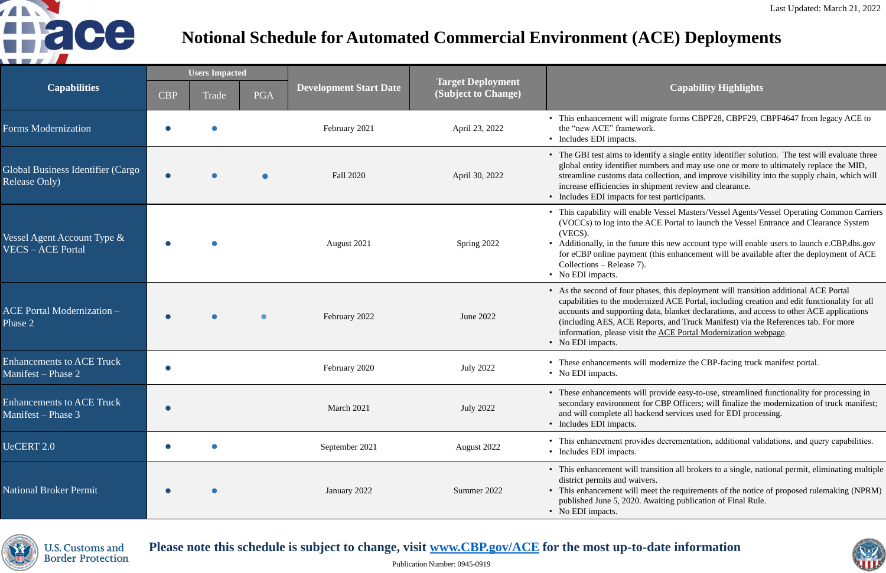#### **(Subject to Change) Capability Highlights**

grate forms CBPF28, CBPF29, CBPF4647 from legacy ACE to

tify a single entity identifier solution. The test will evaluate three mbers and may use one or more to ultimately replace the MID, ollection, and improve visibility into the supply chain, which will ipment review and clearance. test participants.

Vessel Masters/Vessel Agents/Vessel Operating Common Carriers TCE Portal to launch the Vessel Entrance and Clearance System

this new account type will enable users to launch e.CBP.dhs.gov (this enhancement will be available after the deployment of ACE

es, this deployment will transition additional ACE Portal ized ACE Portal, including creation and edit functionality for all lata, blanket declarations, and access to other ACE applications (including Aester and Truck Manifest) via the References tab. For more he [ACE Portal Modernization webpage](https://www.cbp.gov/trade/automated/ace-portal-modernization).

modernize the CBP-facing truck manifest portal.

provide easy-to-use, streamlined functionality for processing in r CBP Officers; will finalize the modernization of truck manifest; cend services used for EDI processing.

es decrementation, additional validations, and query capabilities.

nsition all brokers to a single, national permit, eliminating multiple

eet the requirements of the notice of proposed rulemaking (NPRM) waiting publication of Final Rule.



| <b>Capabilities</b>                                       | <b>Users Impacted</b> |       |            |                               |                                                 |                                                                                                                                                                                                |
|-----------------------------------------------------------|-----------------------|-------|------------|-------------------------------|-------------------------------------------------|------------------------------------------------------------------------------------------------------------------------------------------------------------------------------------------------|
|                                                           | <b>CBP</b>            | Trade | <b>PGA</b> | <b>Development Start Date</b> | <b>Target Deployment</b><br>(Subject to Change) |                                                                                                                                                                                                |
| <b>Forms Modernization</b>                                |                       |       |            | February 2021                 | April 23, 2022                                  | • This enhancement will migr<br>the "new ACE" framework.<br>• Includes EDI impacts.                                                                                                            |
| Global Business Identifier (Cargo<br><b>Release Only)</b> |                       |       |            | <b>Fall 2020</b>              | April 30, 2022                                  | • The GBI test aims to identif<br>global entity identifier numb<br>streamline customs data coll<br>increase efficiencies in ship<br>• Includes EDI impacts for tes                             |
| Vessel Agent Account Type $\&$<br><b>VECS-ACE Portal</b>  |                       |       |            | August 2021                   | Spring 2022                                     | • This capability will enable V<br>(VOCCs) to log into the AC<br>(VECS).<br>• Additionally, in the future the<br>for eCBP online payment (tl<br>Collections – Release 7).<br>• No EDI impacts. |
| <b>ACE Portal Modernization -</b><br>Phase 2              |                       |       |            | February 2022                 | June 2022                                       | • As the second of four phases<br>capabilities to the modernize<br>accounts and supporting dat<br>(including AES, ACE Repor<br>information, please visit the<br>• No EDI impacts.              |
| <b>Enhancements to ACE Truck</b><br>Manifest – Phase 2    |                       |       |            | February 2020                 | <b>July 2022</b>                                | • These enhancements will me<br>• No EDI impacts.                                                                                                                                              |
| <b>Enhancements to ACE Truck</b><br>Manifest – Phase 3    |                       |       |            | March 2021                    | <b>July 2022</b>                                | • These enhancements will pr<br>secondary environment for 0<br>and will complete all backer<br>• Includes EDI impacts.                                                                         |
| UeCERT 2.0                                                |                       |       |            | September 2021                | August 2022                                     | • This enhancement provides<br>• Includes EDI impacts.                                                                                                                                         |
| <b>National Broker Permit</b>                             |                       |       |            | January 2022                  | Summer 2022                                     | • This enhancement will trans<br>district permits and waivers.<br>• This enhancement will meet<br>published June 5, 2020. Awa<br>• No EDI impacts.                                             |



**U.S. Customs and Border Protection** 

### Please note this schedule is subject to change, visit **[www.CBP.gov/ACE](http://www.cbp.gov/ACE)** for the most up-to-date information



# **Notional Schedule for Automated Commercial Environment (ACE) Deployments**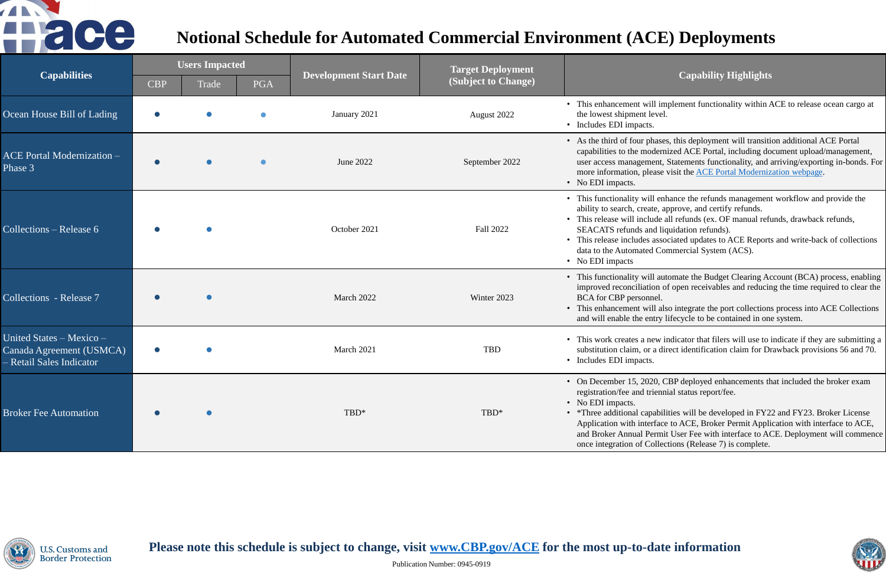Publication Number: 0945-0919

#### **(Subject to Change) Capability Highlights**

ill implement functionality within ACE to release ocean cargo at level.

hases, this deployment will transition additional ACE Portal odernized ACE Portal, including document upload/management, nent, Statements functionality, and arriving/exporting in-bonds. For ease visit the [ACE Portal Modernization webpage.](https://www.cbp.gov/trade/automated/ace-portal-modernization)

Il enhance the refunds management workflow and provide the ate, approve, and certify refunds.

ude all refunds (ex. OF manual refunds, drawback refunds, nd liquidation refunds).

associated updates to ACE Reports and write-back of collections d Commercial System (ACS).

ill automate the Budget Clearing Account (BCA) process, enabling ion of open receivables and reducing the time required to clear the mel.

ill also integrate the port collections process into ACE Collections ntry lifecycle to be contained in one system.

hew indicator that filers will use to indicate if they are submitting a a direct identification claim for Drawback provisions 56 and 70.

20, CBP deployed enhancements that included the broker exam riennial status report/fee.

pabilities will be developed in FY22 and FY23. Broker License erface to ACE, Broker Permit Application with interface to ACE, ermit User Fee with interface to ACE. Deployment will commence Collections (Release 7) is complete.



| <b>Capabilities</b>                                                              | <b>Users Impacted</b> |           |            |                               | <b>Target Deployment</b> |                                                                                                                                                                                    |
|----------------------------------------------------------------------------------|-----------------------|-----------|------------|-------------------------------|--------------------------|------------------------------------------------------------------------------------------------------------------------------------------------------------------------------------|
|                                                                                  | <b>CBP</b>            | Trade     | <b>PGA</b> | <b>Development Start Date</b> | (Subject to Change)      |                                                                                                                                                                                    |
| Ocean House Bill of Lading                                                       |                       |           |            | January 2021                  | August 2022              | • This enhancement wil<br>the lowest shipment le<br>• Includes EDI impacts.                                                                                                        |
| <b>ACE Portal Modernization -</b><br>Phase 3                                     |                       | $\bullet$ |            | June 2022                     | September 2022           | • As the third of four ph<br>capabilities to the mod<br>user access manageme<br>more information, plea<br>• No EDI impacts.                                                        |
| Collections – Release 6                                                          |                       |           |            | October 2021                  | Fall 2022                | • This functionality will<br>ability to search, creat<br>• This release will inclu<br>SEACATS refunds an<br>• This release includes a<br>data to the Automated<br>• No EDI impacts |
| Collections - Release 7                                                          |                       |           |            | March 2022                    | Winter 2023              | • This functionality will<br>improved reconciliatio<br><b>BCA</b> for CBP personn<br>• This enhancement wil<br>and will enable the en                                              |
| United States - Mexico -<br>Canada Agreement (USMCA)<br>- Retail Sales Indicator |                       |           |            | March 2021                    | <b>TBD</b>               | • This work creates a ne<br>substitution claim, or<br>• Includes EDI impacts.                                                                                                      |
| <b>Broker Fee Automation</b>                                                     |                       |           |            | TBD*                          | TBD*                     | • On December 15, 202<br>registration/fee and tri<br>• No EDI impacts.<br>• *Three additional capa<br>Application with inter<br>and Broker Annual Pe<br>once integration of Co     |



Please note this schedule is subject to change, visit **[www.CBP.gov/ACE](http://www.cbp.gov/ACE)** for the most up-to-date information U.S. Customs and **Border Protection** 



# **Notional Schedule for Automated Commercial Environment (ACE) Deployments**